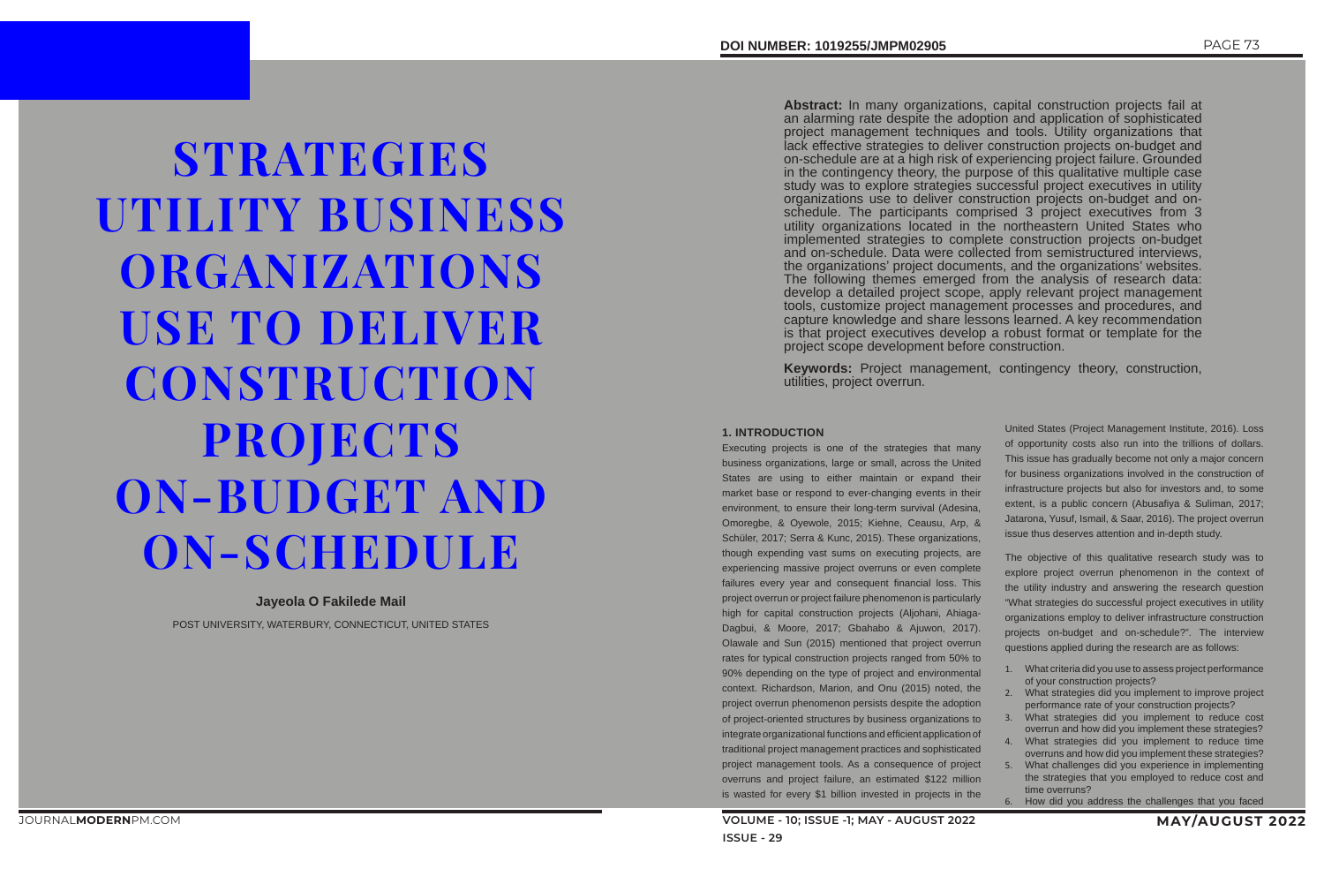**STRATEGIES** UTILITY BUSINESS ORGANIZATIONS USE TO DELIVER **CONSTRUCTION** PROJECTS ON-BUDGET AND ON-SCHEDULE

# **Jayeola O Fakilede Mail**

POST UNIVERSITY, WATERBURY, CONNECTICUT, UNITED STATES

**Abstract:** In many organizations, capital construction projects fail at an alarming rate despite the adoption and application of sophisticated project management techniques and tools. Utility organizations that lack effective strategies to deliver construction projects on-budget and on-schedule are at a high risk of experiencing project failure. Grounded in the contingency theory, the purpose of this qualitative multiple case study was to explore strategies successful project executives in utility organizations use to deliver construction projects on-budget and onschedule. The participants comprised 3 project executives from 3 utility organizations located in the northeastern United States who implemented strategies to complete construction projects on-budget and on-schedule. Data were collected from semistructured interviews, the organizations' project documents, and the organizations' websites. The following themes emerged from the analysis of research data: develop a detailed project scope, apply relevant project management tools, customize project management processes and procedures, and capture knowledge and share lessons learned. A key recommendation is that project executives develop a robust format or template for the project scope development before construction.

**Keywords:** Project management, contingency theory, construction, utilities, project overrun.

# **1. INTRODUCTION**

Executing projects is one of the strategies that many business organizations, large or small, across the United States are using to either maintain or expand their market base or respond to ever-changing events in their environment, to ensure their long-term survival (Adesina, Omoregbe, & Oyewole, 2015; Kiehne, Ceausu, Arp, & Schüler, 2017; Serra & Kunc, 2015). These organizations, though expending vast sums on executing projects, are experiencing massive project overruns or even complete failures every year and consequent financial loss. This project overrun or project failure phenomenon is particularly high for capital construction projects (Aljohani, Ahiaga-Dagbui, & Moore, 2017; Gbahabo & Ajuwon, 2017). Olawale and Sun (2015) mentioned that project overrun rates for typical construction projects ranged from 50% to 90% depending on the type of project and environmental context. Richardson, Marion, and Onu (2015) noted, the project overrun phenomenon persists despite the adoption of project-oriented structures by business organizations to integrate organizational functions and efficient application of traditional project management practices and sophisticated project management tools. As a consequence of project overruns and project failure, an estimated \$122 million is wasted for every \$1 billion invested in projects in the

- United States (Project Management Institute, 2016). Loss of opportunity costs also run into the trillions of dollars. This issue has gradually become not only a major concern for business organizations involved in the construction of infrastructure projects but also for investors and, to some extent, is a public concern (Abusafiya & Suliman, 2017; Jatarona, Yusuf, Ismail, & Saar, 2016). The project overrun issue thus deserves attention and in-depth study.
- The objective of this qualitative research study was to explore project overrun phenomenon in the context of the utility industry and answering the research question "What strategies do successful project executives in utility organizations employ to deliver infrastructure construction projects on-budget and on-schedule?". The interview questions applied during the research are as follows:
- 1. What criteria did you use to assess project performance of your construction projects?
- 2. What strategies did you implement to improve project performance rate of your construction projects?
- 3. What strategies did you implement to reduce cost overrun and how did you implement these strategies?
- 4. What strategies did you implement to reduce time overruns and how did you implement these strategies?
- What challenges did you experience in implementing the strategies that you employed to reduce cost and time overruns?
- 6. How did you address the challenges that you faced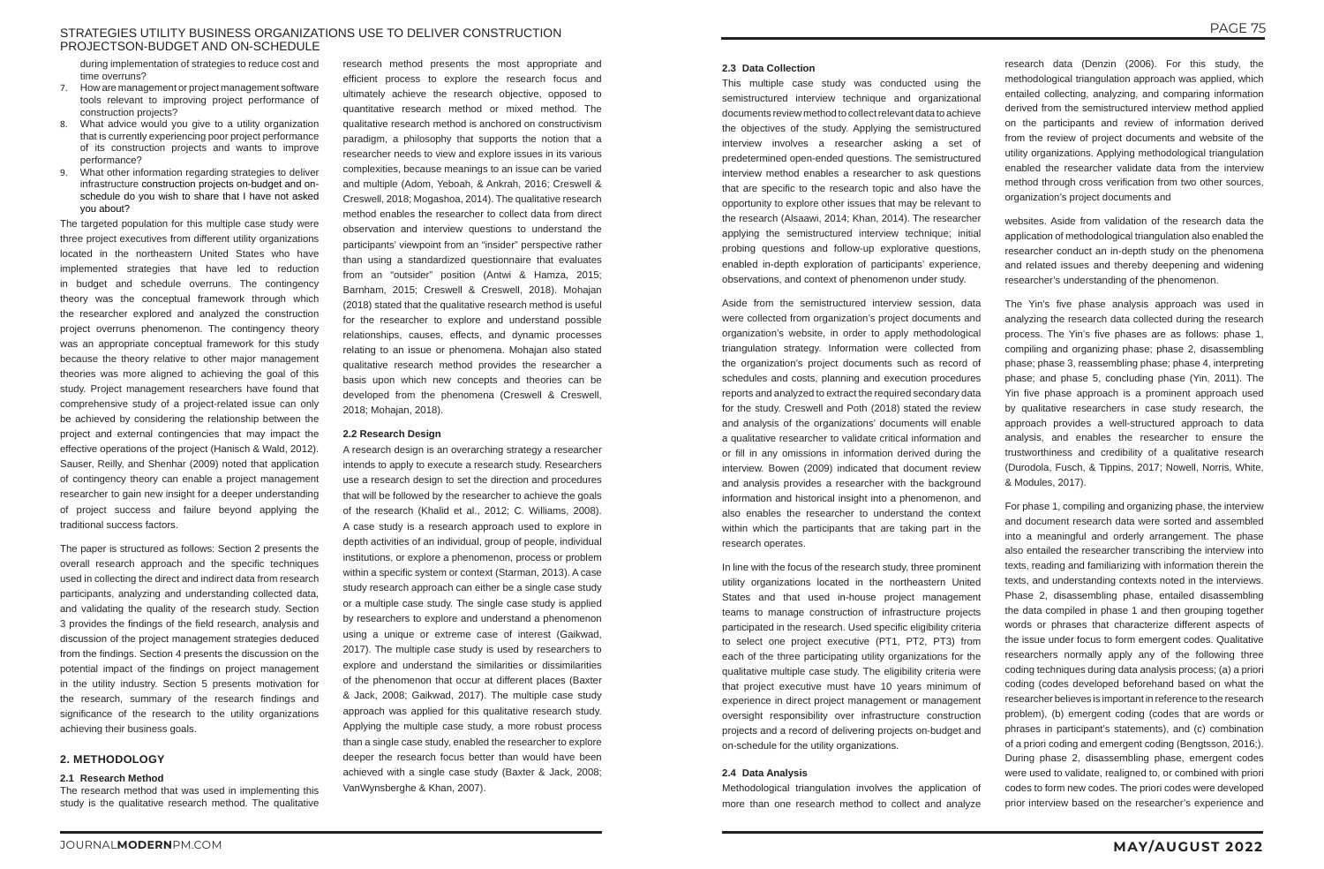# STRATEGIES UTILITY BUSINESS ORGANIZATIONS USE TO DELIVER CONSTRUCTION PROJECTSON-BUDGET AND ON-SCHEDULE

during implementation of strategies to reduce cost and time overruns?

- 7. How are management or project management software tools relevant to improving project performance of construction projects?
- 8. What advice would you give to a utility organization that is currently experiencing poor project performance of its construction projects and wants to improve performance?
- 9. What other information regarding strategies to deliver infrastructure construction projects on-budget and onschedule do you wish to share that I have not asked you about?

The targeted population for this multiple case study were three project executives from different utility organizations located in the northeastern United States who have implemented strategies that have led to reduction in budget and schedule overruns. The contingency theory was the conceptual framework through which the researcher explored and analyzed the construction project overruns phenomenon. The contingency theory was an appropriate conceptual framework for this study because the theory relative to other major management theories was more aligned to achieving the goal of this study. Project management researchers have found that comprehensive study of a project-related issue can only be achieved by considering the relationship between the project and external contingencies that may impact the effective operations of the project (Hanisch & Wald, 2012). Sauser, Reilly, and Shenhar (2009) noted that application of contingency theory can enable a project management researcher to gain new insight for a deeper understanding of project success and failure beyond applying the traditional success factors.

The paper is structured as follows: Section 2 presents the overall research approach and the specific techniques used in collecting the direct and indirect data from research participants, analyzing and understanding collected data, and validating the quality of the research study. Section 3 provides the findings of the field research, analysis and discussion of the project management strategies deduced from the findings. Section 4 presents the discussion on the potential impact of the findings on project management in the utility industry. Section 5 presents motivation for the research, summary of the research findings and significance of the research to the utility organizations achieving their business goals.

# **2. METHODOLOGY**

# **2.1 Research Method**

The research method that was used in implementing this study is the qualitative research method. The qualitative research method presents the most appropriate and efficient process to explore the research focus and ultimately achieve the research objective, opposed to quantitative research method or mixed method. The qualitative research method is anchored on constructivism paradigm, a philosophy that supports the notion that a researcher needs to view and explore issues in its various complexities, because meanings to an issue can be varied and multiple (Adom, Yeboah, & Ankrah, 2016; Creswell & Creswell, 2018; Mogashoa, 2014). The qualitative research method enables the researcher to collect data from direct observation and interview questions to understand the participants' viewpoint from an "insider" perspective rather than using a standardized questionnaire that evaluates from an "outsider" position (Antwi & Hamza, 2015; Barnham, 2015; Creswell & Creswell, 2018). Mohajan (2018) stated that the qualitative research method is useful for the researcher to explore and understand possible relationships, causes, effects, and dynamic processes relating to an issue or phenomena. Mohajan also stated qualitative research method provides the researcher a basis upon which new concepts and theories can be developed from the phenomena (Creswell & Creswell, 2018; Mohajan, 2018).

### **2.2 Research Design**

A research design is an overarching strategy a researcher intends to apply to execute a research study. Researchers use a research design to set the direction and procedures that will be followed by the researcher to achieve the goals of the research (Khalid et al., 2012; C. Williams, 2008). A case study is a research approach used to explore in depth activities of an individual, group of people, individual institutions, or explore a phenomenon, process or problem within a specific system or context (Starman, 2013). A case study research approach can either be a single case study or a multiple case study. The single case study is applied by researchers to explore and understand a phenomenon using a unique or extreme case of interest (Gaikwad, 2017). The multiple case study is used by researchers to explore and understand the similarities or dissimilarities of the phenomenon that occur at different places (Baxter & Jack, 2008; Gaikwad, 2017). The multiple case study approach was applied for this qualitative research study. Applying the multiple case study, a more robust process than a single case study, enabled the researcher to explore deeper the research focus better than would have been achieved with a single case study (Baxter & Jack, 2008; VanWynsberghe & Khan, 2007).

# **2.3 Data Collection**

This multiple case study was conducted using the semistructured interview technique and organizational documents review method to collect relevant data to achieve the objectives of the study. Applying the semistructured interview involves a researcher asking a set of predetermined open-ended questions. The semistructured interview method enables a researcher to ask questions that are specific to the research topic and also have the opportunity to explore other issues that may be relevant to the research (Alsaawi, 2014; Khan, 2014). The researcher applying the semistructured interview technique; initial probing questions and follow-up explorative questions, enabled in-depth exploration of participants' experience, observations, and context of phenomenon under study.

Aside from the semistructured interview session, data were collected from organization's project documents and organization's website, in order to apply methodological triangulation strategy. Information were collected from the organization's project documents such as record of schedules and costs, planning and execution procedures reports and analyzed to extract the required secondary data for the study. Creswell and Poth (2018) stated the review and analysis of the organizations' documents will enable a qualitative researcher to validate critical information and or fill in any omissions in information derived during the interview. Bowen (2009) indicated that document review and analysis provides a researcher with the background information and historical insight into a phenomenon, and also enables the researcher to understand the context within which the participants that are taking part in the research operates.

In line with the focus of the research study, three prominent utility organizations located in the northeastern United States and that used in-house project management teams to manage construction of infrastructure projects participated in the research. Used specific eligibility criteria to select one project executive (PT1, PT2, PT3) from each of the three participating utility organizations for the qualitative multiple case study. The eligibility criteria were that project executive must have 10 years minimum of experience in direct project management or management oversight responsibility over infrastructure construction projects and a record of delivering projects on-budget and on-schedule for the utility organizations.

### **2.4 Data Analysis**

Methodological triangulation involves the application of more than one research method to collect and analyze

research data (Denzin (2006). For this study, the methodological triangulation approach was applied, which entailed collecting, analyzing, and comparing information derived from the semistructured interview method applied on the participants and review of information derived from the review of project documents and website of the utility organizations. Applying methodological triangulation enabled the researcher validate data from the interview method through cross verification from two other sources, organization's project documents and

websites. Aside from validation of the research data the application of methodological triangulation also enabled the researcher conduct an in-depth study on the phenomena and related issues and thereby deepening and widening researcher's understanding of the phenomenon.

The Yin's five phase analysis approach was used in analyzing the research data collected during the research process. The Yin's five phases are as follows: phase 1, compiling and organizing phase; phase 2, disassembling phase; phase 3, reassembling phase; phase 4, interpreting phase; and phase 5, concluding phase (Yin, 2011). The Yin five phase approach is a prominent approach used by qualitative researchers in case study research, the approach provides a well-structured approach to data analysis, and enables the researcher to ensure the trustworthiness and credibility of a qualitative research (Durodola, Fusch, & Tippins, 2017; Nowell, Norris, White, & Modules, 2017).

For phase 1, compiling and organizing phase, the interview and document research data were sorted and assembled into a meaningful and orderly arrangement. The phase also entailed the researcher transcribing the interview into texts, reading and familiarizing with information therein the texts, and understanding contexts noted in the interviews. Phase 2, disassembling phase, entailed disassembling the data compiled in phase 1 and then grouping together words or phrases that characterize different aspects of the issue under focus to form emergent codes. Qualitative researchers normally apply any of the following three coding techniques during data analysis process; (a) a priori coding (codes developed beforehand based on what the researcher believes is important in reference to the research problem), (b) emergent coding (codes that are words or phrases in participant's statements), and (c) combination of a priori coding and emergent coding (Bengtsson, 2016;). During phase 2, disassembling phase, emergent codes were used to validate, realigned to, or combined with priori codes to form new codes. The priori codes were developed prior interview based on the researcher's experience and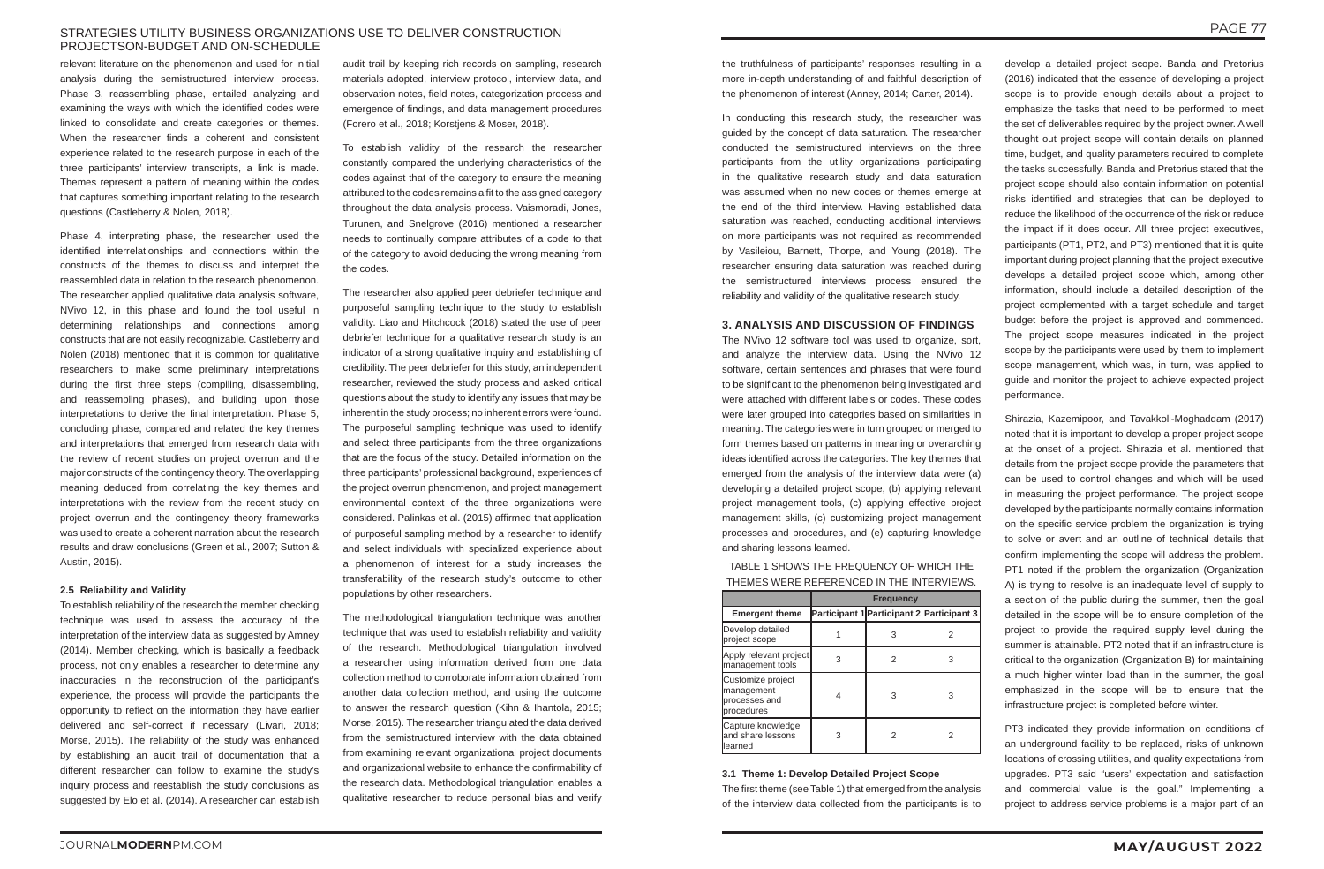# STRATEGIES UTILITY BUSINESS ORGANIZATIONS USE TO DELIVER CONSTRUCTION PROJECTSON-BUDGET AND ON-SCHEDULE

relevant literature on the phenomenon and used for initial analysis during the semistructured interview process. Phase 3, reassembling phase, entailed analyzing and examining the ways with which the identified codes were linked to consolidate and create categories or themes. When the researcher finds a coherent and consistent experience related to the research purpose in each of the three participants' interview transcripts, a link is made. Themes represent a pattern of meaning within the codes that captures something important relating to the research questions (Castleberry & Nolen, 2018).

Phase 4, interpreting phase, the researcher used the identified interrelationships and connections within the constructs of the themes to discuss and interpret the reassembled data in relation to the research phenomenon. The researcher applied qualitative data analysis software, NVivo 12, in this phase and found the tool useful in determining relationships and connections among constructs that are not easily recognizable. Castleberry and Nolen (2018) mentioned that it is common for qualitative researchers to make some preliminary interpretations during the first three steps (compiling, disassembling, and reassembling phases), and building upon those interpretations to derive the final interpretation. Phase 5, concluding phase, compared and related the key themes and interpretations that emerged from research data with the review of recent studies on project overrun and the major constructs of the contingency theory. The overlapping meaning deduced from correlating the key themes and interpretations with the review from the recent study on project overrun and the contingency theory frameworks was used to create a coherent narration about the research results and draw conclusions (Green et al., 2007; Sutton & Austin, 2015).

# **2.5 Reliability and Validity**

To establish reliability of the research the member checking technique was used to assess the accuracy of the interpretation of the interview data as suggested by Amney (2014). Member checking, which is basically a feedback process, not only enables a researcher to determine any inaccuracies in the reconstruction of the participant's experience, the process will provide the participants the opportunity to reflect on the information they have earlier delivered and self-correct if necessary (Livari, 2018; Morse, 2015). The reliability of the study was enhanced by establishing an audit trail of documentation that a different researcher can follow to examine the study's inquiry process and reestablish the study conclusions as suggested by Elo et al. (2014). A researcher can establish

audit trail by keeping rich records on sampling, research materials adopted, interview protocol, interview data, and observation notes, field notes, categorization process and emergence of findings, and data management procedures (Forero et al., 2018; Korstjens & Moser, 2018).

To establish validity of the research the researcher constantly compared the underlying characteristics of the codes against that of the category to ensure the meaning attributed to the codes remains a fit to the assigned category throughout the data analysis process. Vaismoradi, Jones, Turunen, and Snelgrove (2016) mentioned a researcher needs to continually compare attributes of a code to that of the category to avoid deducing the wrong meaning from the codes.

The researcher also applied peer debriefer technique and purposeful sampling technique to the study to establish validity. Liao and Hitchcock (2018) stated the use of peer debriefer technique for a qualitative research study is an indicator of a strong qualitative inquiry and establishing of credibility. The peer debriefer for this study, an independent researcher, reviewed the study process and asked critical questions about the study to identify any issues that may be inherent in the study process; no inherent errors were found. The purposeful sampling technique was used to identify and select three participants from the three organizations that are the focus of the study. Detailed information on the three participants' professional background, experiences of the project overrun phenomenon, and project management environmental context of the three organizations were considered. Palinkas et al. (2015) affirmed that application of purposeful sampling method by a researcher to identify and select individuals with specialized experience about a phenomenon of interest for a study increases the transferability of the research study's outcome to other populations by other researchers.

The methodological triangulation technique was another technique that was used to establish reliability and validity of the research. Methodological triangulation involved a researcher using information derived from one data collection method to corroborate information obtained from another data collection method, and using the outcome to answer the research question (Kihn & Ihantola, 2015; Morse, 2015). The researcher triangulated the data derived from the semistructured interview with the data obtained from examining relevant organizational project documents and organizational website to enhance the confirmability of the research data. Methodological triangulation enables a qualitative researcher to reduce personal bias and verify

the truthfulness of participants' responses resulting in a more in-depth understanding of and faithful description of the phenomenon of interest (Anney, 2014; Carter, 2014).

In conducting this research study, the researcher was guided by the concept of data saturation. The researcher conducted the semistructured interviews on the three participants from the utility organizations participating in the qualitative research study and data saturation was assumed when no new codes or themes emerge at the end of the third interview. Having established data saturation was reached, conducting additional interviews on more participants was not required as recommended by Vasileiou, Barnett, Thorpe, and Young (2018). The researcher ensuring data saturation was reached during the semistructured interviews process ensured the reliability and validity of the qualitative research study.

# **3. ANALYSIS AND DISCUSSION OF FINDINGS**

The NVivo 12 software tool was used to organize, sort, and analyze the interview data. Using the NVivo 12 software, certain sentences and phrases that were found to be significant to the phenomenon being investigated and were attached with different labels or codes. These codes were later grouped into categories based on similarities in meaning. The categories were in turn grouped or merged to form themes based on patterns in meaning or overarching ideas identified across the categories. The key themes that emerged from the analysis of the interview data were (a) developing a detailed project scope, (b) applying relevant project management tools, (c) applying effective project management skills, (c) customizing project management processes and procedures, and (e) capturing knowledge and sharing lessons learned.

TABLE 1 SHOWS THE FREQUENCY OF WHICH THE THEMES WERE REFERENCED IN THE INTERVIEWS.

|                                                                | <b>Frequency</b> |   |                                           |
|----------------------------------------------------------------|------------------|---|-------------------------------------------|
| <b>Emergent theme</b>                                          |                  |   | Participant 1 Participant 2 Participant 3 |
| Develop detailed<br>project scope                              |                  |   |                                           |
| Apply relevant project<br>management tools                     |                  |   | 3                                         |
| Customize project<br>management<br>processes and<br>procedures | 4                | З | 3                                         |
| Capture knowledge<br>and share lessons<br>learned              |                  | 2 | 2                                         |

### **3.1 Theme 1: Develop Detailed Project Scope**

The first theme (see Table 1) that emerged from the analysis of the interview data collected from the participants is to

develop a detailed project scope. Banda and Pretorius (2016) indicated that the essence of developing a project scope is to provide enough details about a project to emphasize the tasks that need to be performed to meet the set of deliverables required by the project owner. A well thought out project scope will contain details on planned time, budget, and quality parameters required to complete the tasks successfully. Banda and Pretorius stated that the project scope should also contain information on potential risks identified and strategies that can be deployed to reduce the likelihood of the occurrence of the risk or reduce the impact if it does occur. All three project executives, participants (PT1, PT2, and PT3) mentioned that it is quite important during project planning that the project executive develops a detailed project scope which, among other information, should include a detailed description of the project complemented with a target schedule and target budget before the project is approved and commenced. The project scope measures indicated in the project scope by the participants were used by them to implement scope management, which was, in turn, was applied to guide and monitor the project to achieve expected project performance.

Shirazia, Kazemipoor, and Tavakkoli-Moghaddam (2017) noted that it is important to develop a proper project scope at the onset of a project. Shirazia et al. mentioned that details from the project scope provide the parameters that can be used to control changes and which will be used in measuring the project performance. The project scope developed by the participants normally contains information on the specific service problem the organization is trying to solve or avert and an outline of technical details that confirm implementing the scope will address the problem. PT1 noted if the problem the organization (Organization A) is trying to resolve is an inadequate level of supply to a section of the public during the summer, then the goal detailed in the scope will be to ensure completion of the project to provide the required supply level during the summer is attainable. PT2 noted that if an infrastructure is critical to the organization (Organization B) for maintaining a much higher winter load than in the summer, the goal emphasized in the scope will be to ensure that the infrastructure project is completed before winter.

PT3 indicated they provide information on conditions of an underground facility to be replaced, risks of unknown locations of crossing utilities, and quality expectations from upgrades. PT3 said "users' expectation and satisfaction and commercial value is the goal." Implementing a project to address service problems is a major part of an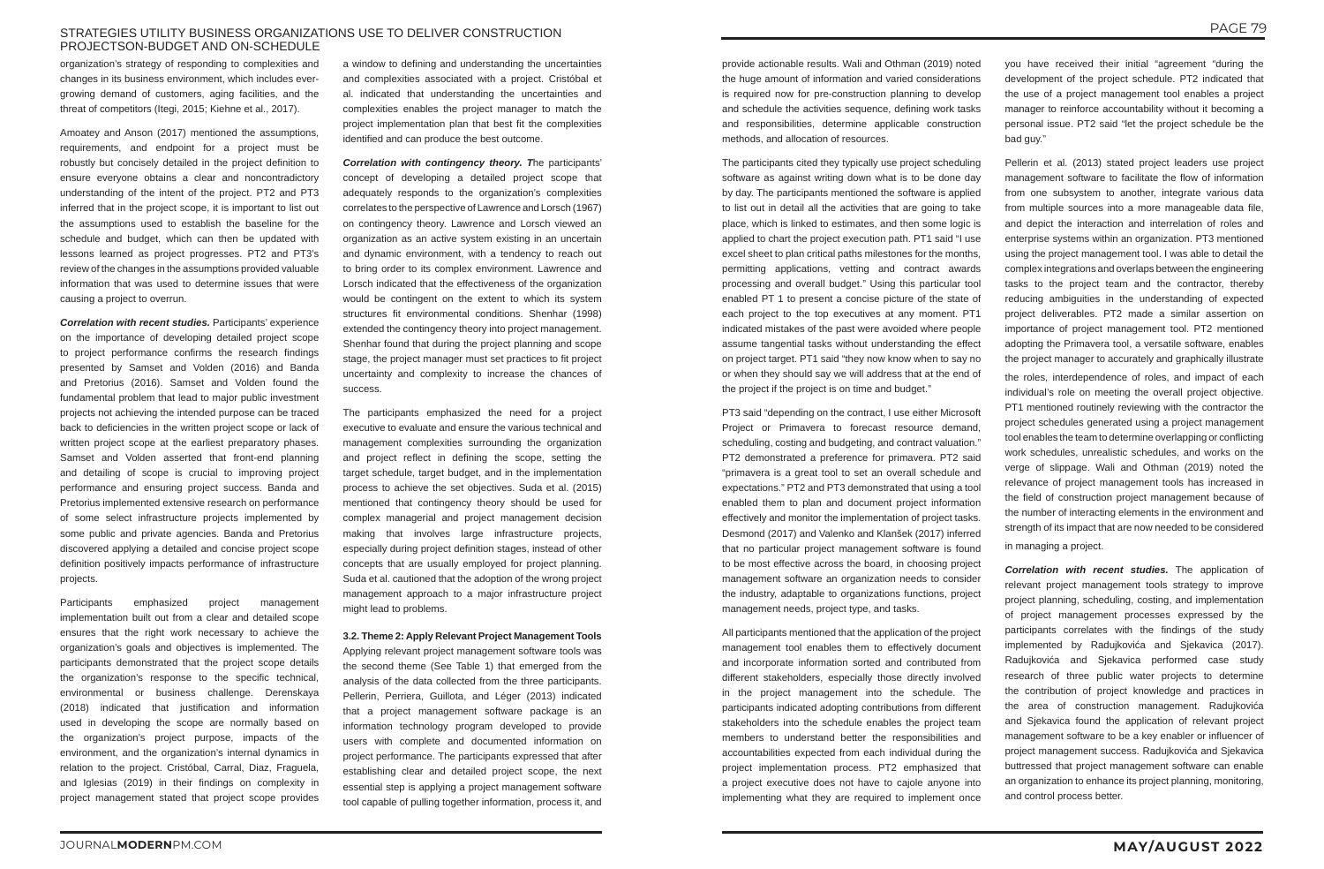# STRATEGIES UTILITY BUSINESS ORGANIZATIONS USE TO DELIVER CONSTRUCTION PROJECTSON-BUDGET AND ON-SCHEDULE

organization's strategy of responding to complexities and changes in its business environment, which includes evergrowing demand of customers, aging facilities, and the threat of competitors (Itegi, 2015; Kiehne et al., 2017).

Amoatey and Anson (2017) mentioned the assumptions, requirements, and endpoint for a project must be robustly but concisely detailed in the project definition to ensure everyone obtains a clear and noncontradictory understanding of the intent of the project. PT2 and PT3 inferred that in the project scope, it is important to list out the assumptions used to establish the baseline for the schedule and budget, which can then be updated with lessons learned as project progresses. PT2 and PT3's review of the changes in the assumptions provided valuable information that was used to determine issues that were causing a project to overrun.

Participants emphasized project management implementation built out from a clear and detailed scope ensures that the right work necessary to achieve the organization's goals and objectives is implemented. The participants demonstrated that the project scope details the organization's response to the specific technical, environmental or business challenge. Derenskaya (2018) indicated that justification and information used in developing the scope are normally based on the organization's project purpose, impacts of the environment, and the organization's internal dynamics in relation to the project. Cristóbal, Carral, Diaz, Fraguela, and Iglesias (2019) in their findings on complexity in project management stated that project scope provides

*Correlation with recent studies.* Participants' experience on the importance of developing detailed project scope to project performance confirms the research findings presented by Samset and Volden (2016) and Banda and Pretorius (2016). Samset and Volden found the fundamental problem that lead to major public investment projects not achieving the intended purpose can be traced back to deficiencies in the written project scope or lack of written project scope at the earliest preparatory phases. Samset and Volden asserted that front-end planning and detailing of scope is crucial to improving project performance and ensuring project success. Banda and Pretorius implemented extensive research on performance of some select infrastructure projects implemented by some public and private agencies. Banda and Pretorius discovered applying a detailed and concise project scope definition positively impacts performance of infrastructure projects.

a window to defining and understanding the uncertainties and complexities associated with a project. Cristóbal et al. indicated that understanding the uncertainties and complexities enables the project manager to match the project implementation plan that best fit the complexities identified and can produce the best outcome.

*Correlation with contingency theory. T*he participants' concept of developing a detailed project scope that adequately responds to the organization's complexities correlates to the perspective of Lawrence and Lorsch (1967) on contingency theory. Lawrence and Lorsch viewed an organization as an active system existing in an uncertain and dynamic environment, with a tendency to reach out to bring order to its complex environment. Lawrence and Lorsch indicated that the effectiveness of the organization would be contingent on the extent to which its system structures fit environmental conditions. Shenhar (1998) extended the contingency theory into project management. Shenhar found that during the project planning and scope stage, the project manager must set practices to fit project uncertainty and complexity to increase the chances of success.

The participants emphasized the need for a project executive to evaluate and ensure the various technical and management complexities surrounding the organization and project reflect in defining the scope, setting the target schedule, target budget, and in the implementation process to achieve the set objectives. Suda et al. (2015) mentioned that contingency theory should be used for complex managerial and project management decision making that involves large infrastructure projects, especially during project definition stages, instead of other concepts that are usually employed for project planning. Suda et al. cautioned that the adoption of the wrong project management approach to a major infrastructure project might lead to problems.

**3.2. Theme 2: Apply Relevant Project Management Tools** Applying relevant project management software tools was the second theme (See Table 1) that emerged from the analysis of the data collected from the three participants. Pellerin, Perriera, Guillota, and Léger (2013) indicated that a project management software package is an information technology program developed to provide users with complete and documented information on project performance. The participants expressed that after establishing clear and detailed project scope, the next essential step is applying a project management software tool capable of pulling together information, process it, and

provide actionable results. Wali and Othman (2019) noted the huge amount of information and varied considerations is required now for pre-construction planning to develop and schedule the activities sequence, defining work tasks and responsibilities, determine applicable construction methods, and allocation of resources.

The participants cited they typically use project scheduling software as against writing down what is to be done day by day. The participants mentioned the software is applied to list out in detail all the activities that are going to take place, which is linked to estimates, and then some logic is applied to chart the project execution path. PT1 said "I use excel sheet to plan critical paths milestones for the months, permitting applications, vetting and contract awards processing and overall budget." Using this particular tool enabled PT 1 to present a concise picture of the state of each project to the top executives at any moment. PT1 indicated mistakes of the past were avoided where people assume tangential tasks without understanding the effect on project target. PT1 said "they now know when to say no or when they should say we will address that at the end of the project if the project is on time and budget."

PT3 said "depending on the contract, I use either Microsoft Project or Primavera to forecast resource demand, scheduling, costing and budgeting, and contract valuation." PT2 demonstrated a preference for primavera. PT2 said "primavera is a great tool to set an overall schedule and expectations." PT2 and PT3 demonstrated that using a tool enabled them to plan and document project information effectively and monitor the implementation of project tasks. Desmond (2017) and Valenko and Klanšek (2017) inferred that no particular project management software is found to be most effective across the board, in choosing project management software an organization needs to consider the industry, adaptable to organizations functions, project management needs, project type, and tasks.

All participants mentioned that the application of the project management tool enables them to effectively document and incorporate information sorted and contributed from different stakeholders, especially those directly involved in the project management into the schedule. The participants indicated adopting contributions from different stakeholders into the schedule enables the project team members to understand better the responsibilities and accountabilities expected from each individual during the project implementation process. PT2 emphasized that a project executive does not have to cajole anyone into implementing what they are required to implement once

you have received their initial "agreement "during the development of the project schedule. PT2 indicated that the use of a project management tool enables a project manager to reinforce accountability without it becoming a personal issue. PT2 said "let the project schedule be the bad guy."

Pellerin et al. (2013) stated project leaders use project management software to facilitate the flow of information from one subsystem to another, integrate various data from multiple sources into a more manageable data file, and depict the interaction and interrelation of roles and enterprise systems within an organization. PT3 mentioned using the project management tool. I was able to detail the complex integrations and overlaps between the engineering tasks to the project team and the contractor, thereby reducing ambiguities in the understanding of expected project deliverables. PT2 made a similar assertion on importance of project management tool. PT2 mentioned adopting the Primavera tool, a versatile software, enables the project manager to accurately and graphically illustrate the roles, interdependence of roles, and impact of each individual's role on meeting the overall project objective. PT1 mentioned routinely reviewing with the contractor the project schedules generated using a project management tool enables the team to determine overlapping or conflicting work schedules, unrealistic schedules, and works on the verge of slippage. Wali and Othman (2019) noted the relevance of project management tools has increased in the field of construction project management because of the number of interacting elements in the environment and strength of its impact that are now needed to be considered in managing a project.

*Correlation with recent studies.* The application of relevant project management tools strategy to improve project planning, scheduling, costing, and implementation of project management processes expressed by the participants correlates with the findings of the study implemented by Radujkovića and Sjekavica (2017). Radujkovića and Sjekavica performed case study research of three public water projects to determine the contribution of project knowledge and practices in the area of construction management. Radujkovića and Sjekavica found the application of relevant project management software to be a key enabler or influencer of project management success. Radujkovića and Sjekavica buttressed that project management software can enable an organization to enhance its project planning, monitoring, and control process better.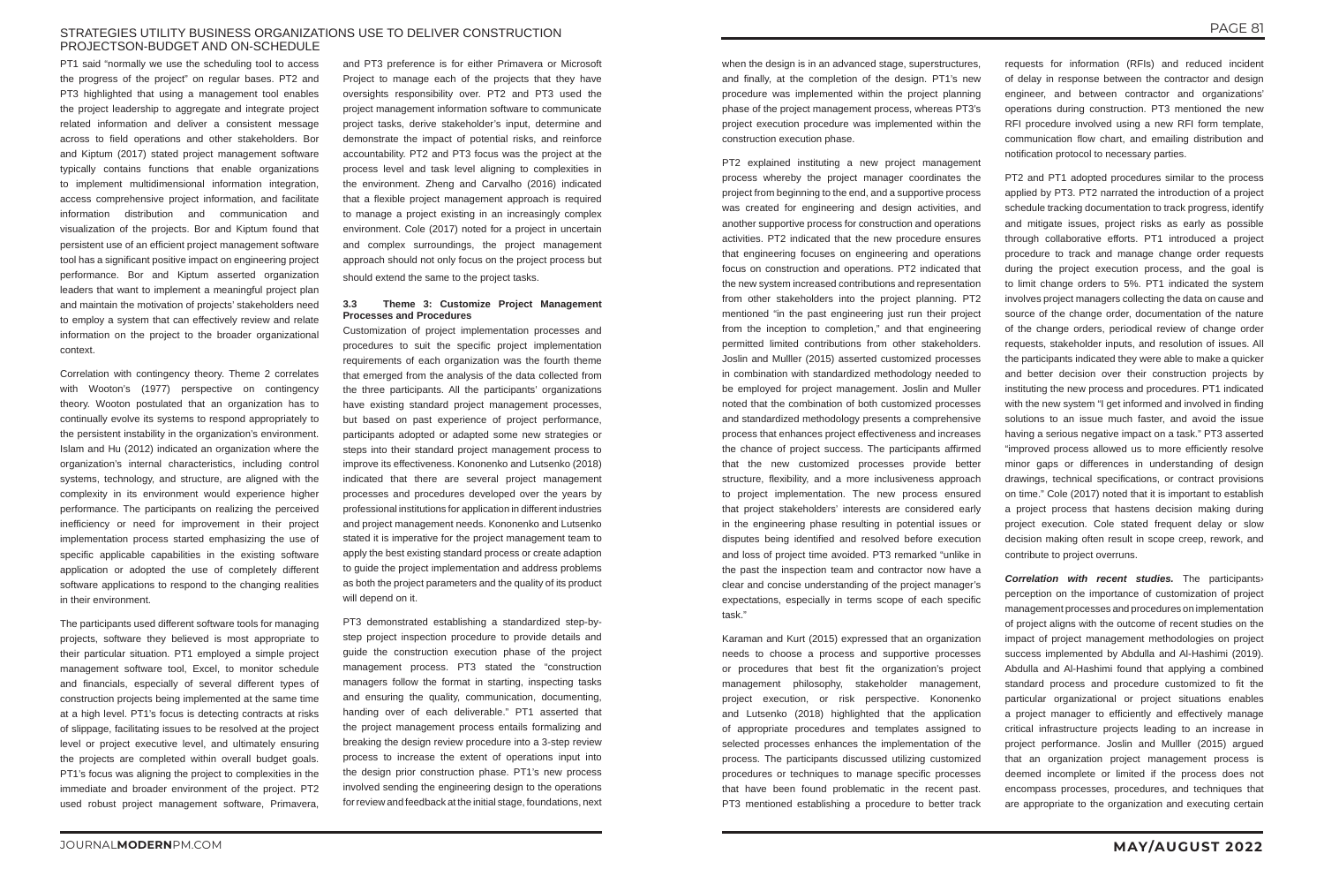# STRATEGIES UTILITY BUSINESS ORGANIZATIONS USE TO DELIVER CONSTRUCTION PROJECTSON-BUDGET AND ON-SCHEDULE

PT1 said "normally we use the scheduling tool to access the progress of the project" on regular bases. PT2 and PT3 highlighted that using a management tool enables the project leadership to aggregate and integrate project related information and deliver a consistent message across to field operations and other stakeholders. Bor and Kiptum (2017) stated project management software typically contains functions that enable organizations to implement multidimensional information integration, access comprehensive project information, and facilitate information distribution and communication and visualization of the projects. Bor and Kiptum found that persistent use of an efficient project management software tool has a significant positive impact on engineering project performance. Bor and Kiptum asserted organization leaders that want to implement a meaningful project plan and maintain the motivation of projects' stakeholders need to employ a system that can effectively review and relate information on the project to the broader organizational context.

Correlation with contingency theory. Theme 2 correlates with Wooton's (1977) perspective on contingency theory. Wooton postulated that an organization has to continually evolve its systems to respond appropriately to the persistent instability in the organization's environment. Islam and Hu (2012) indicated an organization where the organization's internal characteristics, including control systems, technology, and structure, are aligned with the complexity in its environment would experience higher performance. The participants on realizing the perceived inefficiency or need for improvement in their project implementation process started emphasizing the use of specific applicable capabilities in the existing software application or adopted the use of completely different software applications to respond to the changing realities in their environment.

The participants used different software tools for managing projects, software they believed is most appropriate to their particular situation. PT1 employed a simple project management software tool, Excel, to monitor schedule and financials, especially of several different types of construction projects being implemented at the same time at a high level. PT1's focus is detecting contracts at risks of slippage, facilitating issues to be resolved at the project level or project executive level, and ultimately ensuring the projects are completed within overall budget goals. PT1's focus was aligning the project to complexities in the immediate and broader environment of the project. PT2 used robust project management software, Primavera,

when the design is in an advanced stage, superstructures, and finally, at the completion of the design. PT1's new procedure was implemented within the project planning phase of the project management process, whereas PT3's project execution procedure was implemented within the construction execution phase.

and PT3 preference is for either Primavera or Microsoft Project to manage each of the projects that they have oversights responsibility over. PT2 and PT3 used the project management information software to communicate project tasks, derive stakeholder's input, determine and demonstrate the impact of potential risks, and reinforce accountability. PT2 and PT3 focus was the project at the process level and task level aligning to complexities in the environment. Zheng and Carvalho (2016) indicated that a flexible project management approach is required to manage a project existing in an increasingly complex environment. Cole (2017) noted for a project in uncertain and complex surroundings, the project management approach should not only focus on the project process but should extend the same to the project tasks.

# **3.3 Theme 3: Customize Project Management Processes and Procedures**

Customization of project implementation processes and procedures to suit the specific project implementation requirements of each organization was the fourth theme that emerged from the analysis of the data collected from the three participants. All the participants' organizations have existing standard project management processes, but based on past experience of project performance, participants adopted or adapted some new strategies or steps into their standard project management process to improve its effectiveness. Kononenko and Lutsenko (2018) indicated that there are several project management processes and procedures developed over the years by professional institutions for application in different industries and project management needs. Kononenko and Lutsenko stated it is imperative for the project management team to apply the best existing standard process or create adaption to guide the project implementation and address problems as both the project parameters and the quality of its product will depend on it.

PT3 demonstrated establishing a standardized step-bystep project inspection procedure to provide details and guide the construction execution phase of the project management process. PT3 stated the "construction managers follow the format in starting, inspecting tasks and ensuring the quality, communication, documenting, handing over of each deliverable." PT1 asserted that the project management process entails formalizing and breaking the design review procedure into a 3-step review process to increase the extent of operations input into the design prior construction phase. PT1's new process involved sending the engineering design to the operations for review and feedback at the initial stage, foundations, next

PT2 explained instituting a new project management process whereby the project manager coordinates the project from beginning to the end, and a supportive process was created for engineering and design activities, and another supportive process for construction and operations activities. PT2 indicated that the new procedure ensures that engineering focuses on engineering and operations focus on construction and operations. PT2 indicated that the new system increased contributions and representation from other stakeholders into the project planning. PT2 mentioned "in the past engineering just run their project from the inception to completion," and that engineering permitted limited contributions from other stakeholders. Joslin and Mulller (2015) asserted customized processes in combination with standardized methodology needed to be employed for project management. Joslin and Muller noted that the combination of both customized processes and standardized methodology presents a comprehensive process that enhances project effectiveness and increases the chance of project success. The participants affirmed that the new customized processes provide better structure, flexibility, and a more inclusiveness approach to project implementation. The new process ensured that project stakeholders' interests are considered early in the engineering phase resulting in potential issues or disputes being identified and resolved before execution and loss of project time avoided. PT3 remarked "unlike in the past the inspection team and contractor now have a clear and concise understanding of the project manager's expectations, especially in terms scope of each specific task."

Karaman and Kurt (2015) expressed that an organization needs to choose a process and supportive processes or procedures that best fit the organization's project management philosophy, stakeholder management, project execution, or risk perspective. Kononenko and Lutsenko (2018) highlighted that the application of appropriate procedures and templates assigned to selected processes enhances the implementation of the process. The participants discussed utilizing customized procedures or techniques to manage specific processes that have been found problematic in the recent past. PT3 mentioned establishing a procedure to better track

requests for information (RFIs) and reduced incident of delay in response between the contractor and design engineer, and between contractor and organizations' operations during construction. PT3 mentioned the new RFI procedure involved using a new RFI form template, communication flow chart, and emailing distribution and notification protocol to necessary parties.

PT2 and PT1 adopted procedures similar to the process applied by PT3. PT2 narrated the introduction of a project schedule tracking documentation to track progress, identify and mitigate issues, project risks as early as possible through collaborative efforts. PT1 introduced a project procedure to track and manage change order requests during the project execution process, and the goal is to limit change orders to 5%. PT1 indicated the system involves project managers collecting the data on cause and source of the change order, documentation of the nature of the change orders, periodical review of change order requests, stakeholder inputs, and resolution of issues. All the participants indicated they were able to make a quicker and better decision over their construction projects by instituting the new process and procedures. PT1 indicated with the new system "I get informed and involved in finding solutions to an issue much faster, and avoid the issue having a serious negative impact on a task." PT3 asserted "improved process allowed us to more efficiently resolve minor gaps or differences in understanding of design drawings, technical specifications, or contract provisions on time." Cole (2017) noted that it is important to establish a project process that hastens decision making during project execution. Cole stated frequent delay or slow decision making often result in scope creep, rework, and contribute to project overruns.

*Correlation with recent studies.* The participants› perception on the importance of customization of project management processes and procedures on implementation of project aligns with the outcome of recent studies on the impact of project management methodologies on project success implemented by Abdulla and Al-Hashimi (2019). Abdulla and Al-Hashimi found that applying a combined standard process and procedure customized to fit the particular organizational or project situations enables a project manager to efficiently and effectively manage critical infrastructure projects leading to an increase in project performance. Joslin and Mulller (2015) argued that an organization project management process is deemed incomplete or limited if the process does not encompass processes, procedures, and techniques that are appropriate to the organization and executing certain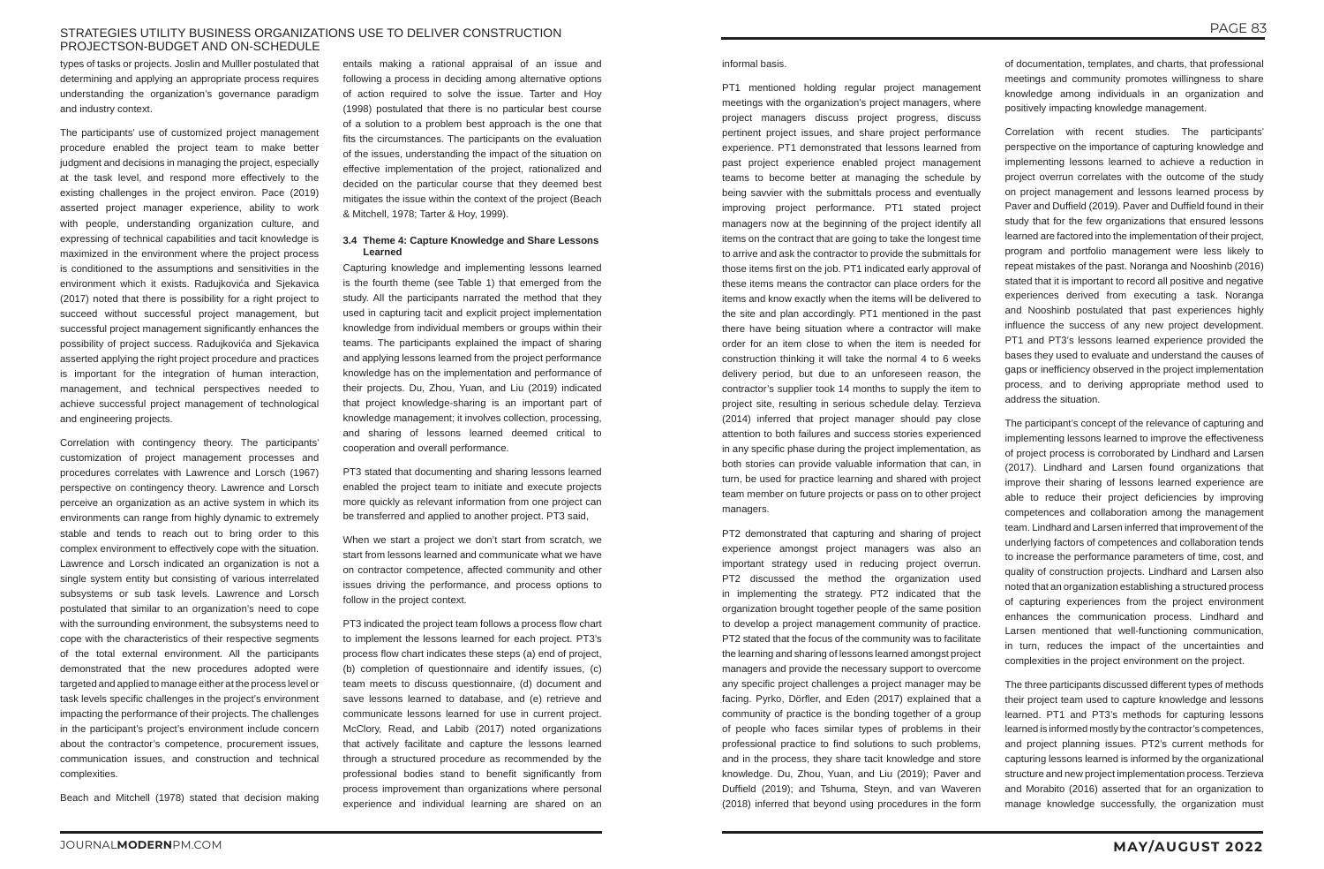# STRATEGIES UTILITY BUSINESS ORGANIZATIONS USE TO DELIVER CONSTRUCTION PROJECTSON-BUDGET AND ON-SCHEDULE

types of tasks or projects. Joslin and Mulller postulated that determining and applying an appropriate process requires understanding the organization's governance paradigm and industry context.

The participants' use of customized project management procedure enabled the project team to make better judgment and decisions in managing the project, especially at the task level, and respond more effectively to the existing challenges in the project environ. Pace (2019) asserted project manager experience, ability to work with people, understanding organization culture, and expressing of technical capabilities and tacit knowledge is maximized in the environment where the project process is conditioned to the assumptions and sensitivities in the environment which it exists. Radujkovića and Sjekavica (2017) noted that there is possibility for a right project to succeed without successful project management, but successful project management significantly enhances the possibility of project success. Radujkovića and Sjekavica asserted applying the right project procedure and practices is important for the integration of human interaction, management, and technical perspectives needed to achieve successful project management of technological and engineering projects.

Correlation with contingency theory. The participants' customization of project management processes and procedures correlates with Lawrence and Lorsch (1967) perspective on contingency theory. Lawrence and Lorsch perceive an organization as an active system in which its environments can range from highly dynamic to extremely stable and tends to reach out to bring order to this complex environment to effectively cope with the situation. Lawrence and Lorsch indicated an organization is not a single system entity but consisting of various interrelated subsystems or sub task levels. Lawrence and Lorsch postulated that similar to an organization's need to cope with the surrounding environment, the subsystems need to cope with the characteristics of their respective segments of the total external environment. All the participants demonstrated that the new procedures adopted were targeted and applied to manage either at the process level or task levels specific challenges in the project's environment impacting the performance of their projects. The challenges in the participant's project's environment include concern about the contractor's competence, procurement issues, communication issues, and construction and technical complexities.

Beach and Mitchell (1978) stated that decision making

entails making a rational appraisal of an issue and following a process in deciding among alternative options of action required to solve the issue. Tarter and Hoy (1998) postulated that there is no particular best course of a solution to a problem best approach is the one that fits the circumstances. The participants on the evaluation of the issues, understanding the impact of the situation on effective implementation of the project, rationalized and decided on the particular course that they deemed best mitigates the issue within the context of the project (Beach & Mitchell, 1978; Tarter & Hoy, 1999).

# **3.4 Theme 4: Capture Knowledge and Share Lessons Learned**

Capturing knowledge and implementing lessons learned is the fourth theme (see Table 1) that emerged from the study. All the participants narrated the method that they used in capturing tacit and explicit project implementation knowledge from individual members or groups within their teams. The participants explained the impact of sharing and applying lessons learned from the project performance knowledge has on the implementation and performance of their projects. Du, Zhou, Yuan, and Liu (2019) indicated that project knowledge-sharing is an important part of knowledge management; it involves collection, processing, and sharing of lessons learned deemed critical to cooperation and overall performance.

PT3 stated that documenting and sharing lessons learned enabled the project team to initiate and execute projects more quickly as relevant information from one project can be transferred and applied to another project. PT3 said,

When we start a project we don't start from scratch, we start from lessons learned and communicate what we have on contractor competence, affected community and other issues driving the performance, and process options to follow in the project context.

PT3 indicated the project team follows a process flow chart to implement the lessons learned for each project. PT3's process flow chart indicates these steps (a) end of project, (b) completion of questionnaire and identify issues, (c) team meets to discuss questionnaire, (d) document and save lessons learned to database, and (e) retrieve and communicate lessons learned for use in current project. McClory, Read, and Labib (2017) noted organizations that actively facilitate and capture the lessons learned through a structured procedure as recommended by the professional bodies stand to benefit significantly from process improvement than organizations where personal experience and individual learning are shared on an

informal basis.

PT1 mentioned holding regular project management meetings with the organization's project managers, where project managers discuss project progress, discuss pertinent project issues, and share project performance experience. PT1 demonstrated that lessons learned from past project experience enabled project management teams to become better at managing the schedule by being savvier with the submittals process and eventually improving project performance. PT1 stated project managers now at the beginning of the project identify all items on the contract that are going to take the longest time to arrive and ask the contractor to provide the submittals for those items first on the job. PT1 indicated early approval of these items means the contractor can place orders for the items and know exactly when the items will be delivered to the site and plan accordingly. PT1 mentioned in the past there have being situation where a contractor will make order for an item close to when the item is needed for construction thinking it will take the normal 4 to 6 weeks delivery period, but due to an unforeseen reason, the contractor's supplier took 14 months to supply the item to project site, resulting in serious schedule delay. Terzieva (2014) inferred that project manager should pay close attention to both failures and success stories experienced in any specific phase during the project implementation, as both stories can provide valuable information that can, in turn, be used for practice learning and shared with project team member on future projects or pass on to other project managers.

PT2 demonstrated that capturing and sharing of project experience amongst project managers was also an important strategy used in reducing project overrun. PT2 discussed the method the organization used in implementing the strategy. PT2 indicated that the organization brought together people of the same position to develop a project management community of practice. PT2 stated that the focus of the community was to facilitate the learning and sharing of lessons learned amongst project managers and provide the necessary support to overcome any specific project challenges a project manager may be facing. Pyrko, Dörfler, and Eden (2017) explained that a community of practice is the bonding together of a group of people who faces similar types of problems in their professional practice to find solutions to such problems, and in the process, they share tacit knowledge and store knowledge. Du, Zhou, Yuan, and Liu (2019); Paver and Duffield (2019); and Tshuma, Steyn, and van Waveren (2018) inferred that beyond using procedures in the form

of documentation, templates, and charts, that professional meetings and community promotes willingness to share knowledge among individuals in an organization and positively impacting knowledge management.

Correlation with recent studies. The participants' perspective on the importance of capturing knowledge and implementing lessons learned to achieve a reduction in project overrun correlates with the outcome of the study on project management and lessons learned process by Paver and Duffield (2019). Paver and Duffield found in their study that for the few organizations that ensured lessons learned are factored into the implementation of their project, program and portfolio management were less likely to repeat mistakes of the past. Noranga and Nooshinb (2016) stated that it is important to record all positive and negative experiences derived from executing a task. Noranga and Nooshinb postulated that past experiences highly influence the success of any new project development. PT1 and PT3's lessons learned experience provided the bases they used to evaluate and understand the causes of gaps or inefficiency observed in the project implementation process, and to deriving appropriate method used to address the situation.

The participant's concept of the relevance of capturing and implementing lessons learned to improve the effectiveness of project process is corroborated by Lindhard and Larsen (2017). Lindhard and Larsen found organizations that improve their sharing of lessons learned experience are able to reduce their project deficiencies by improving competences and collaboration among the management team. Lindhard and Larsen inferred that improvement of the underlying factors of competences and collaboration tends to increase the performance parameters of time, cost, and quality of construction projects. Lindhard and Larsen also noted that an organization establishing a structured process of capturing experiences from the project environment enhances the communication process. Lindhard and Larsen mentioned that well-functioning communication, in turn, reduces the impact of the uncertainties and complexities in the project environment on the project.

The three participants discussed different types of methods their project team used to capture knowledge and lessons learned. PT1 and PT3's methods for capturing lessons learned is informed mostly by the contractor's competences, and project planning issues. PT2's current methods for capturing lessons learned is informed by the organizational structure and new project implementation process. Terzieva and Morabito (2016) asserted that for an organization to manage knowledge successfully, the organization must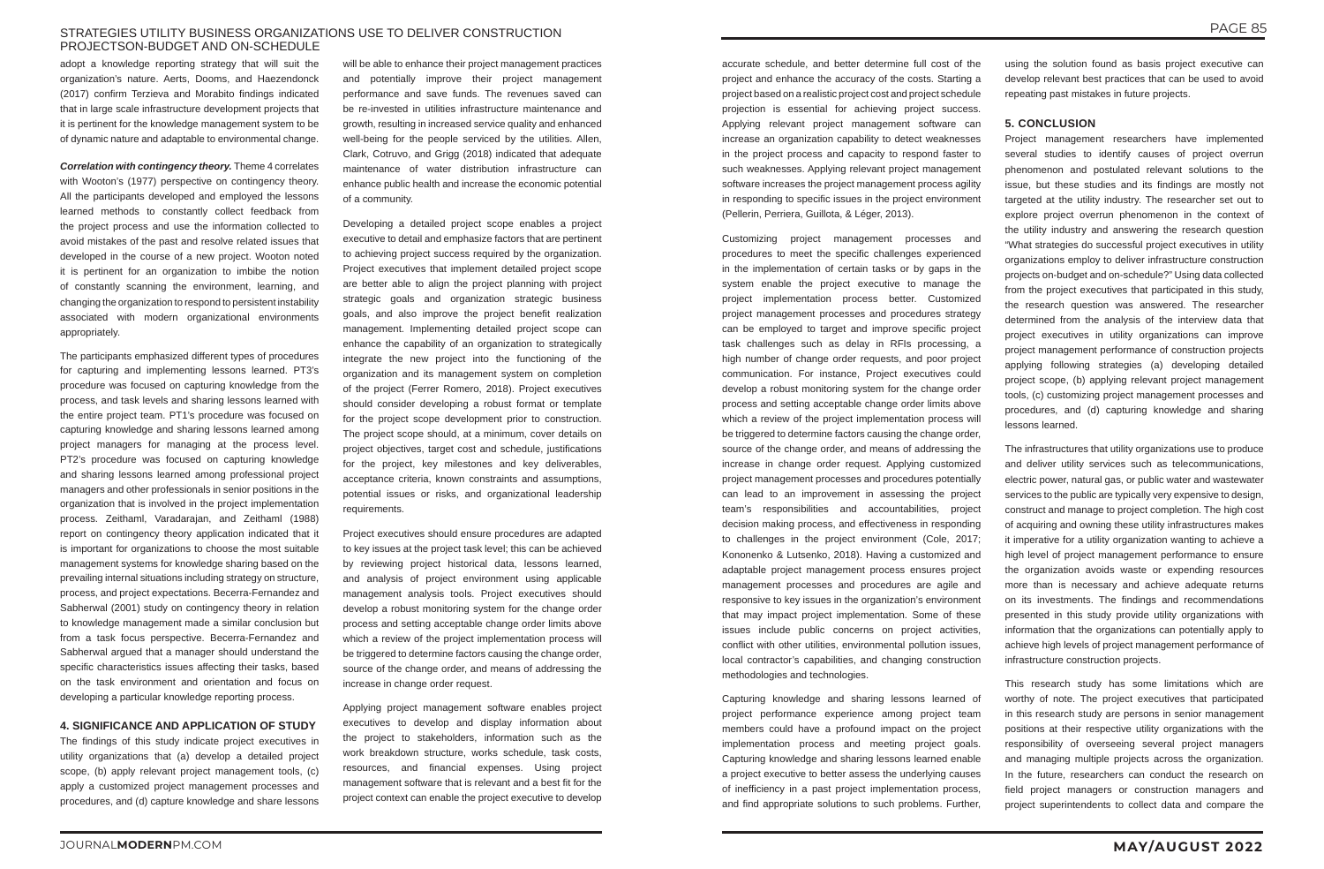# STRATEGIES UTILITY BUSINESS ORGANIZATIONS USE TO DELIVER CONSTRUCTION PROJECTSON-BUDGET AND ON-SCHEDULE

adopt a knowledge reporting strategy that will suit the organization's nature. Aerts, Dooms, and Haezendonck (2017) confirm Terzieva and Morabito findings indicated that in large scale infrastructure development projects that it is pertinent for the knowledge management system to be of dynamic nature and adaptable to environmental change.

*Correlation with contingency theory.* Theme 4 correlates with Wooton's (1977) perspective on contingency theory. All the participants developed and employed the lessons learned methods to constantly collect feedback from the project process and use the information collected to avoid mistakes of the past and resolve related issues that developed in the course of a new project. Wooton noted it is pertinent for an organization to imbibe the notion of constantly scanning the environment, learning, and changing the organization to respond to persistent instability associated with modern organizational environments appropriately.

The participants emphasized different types of procedures for capturing and implementing lessons learned. PT3's procedure was focused on capturing knowledge from the process, and task levels and sharing lessons learned with the entire project team. PT1's procedure was focused on capturing knowledge and sharing lessons learned among project managers for managing at the process level. PT2's procedure was focused on capturing knowledge and sharing lessons learned among professional project managers and other professionals in senior positions in the organization that is involved in the project implementation process. Zeithaml, Varadarajan, and Zeithaml (1988) report on contingency theory application indicated that it is important for organizations to choose the most suitable management systems for knowledge sharing based on the prevailing internal situations including strategy on structure, process, and project expectations. Becerra-Fernandez and Sabherwal (2001) study on contingency theory in relation to knowledge management made a similar conclusion but from a task focus perspective. Becerra-Fernandez and Sabherwal argued that a manager should understand the specific characteristics issues affecting their tasks, based on the task environment and orientation and focus on developing a particular knowledge reporting process.

# **4. SIGNIFICANCE AND APPLICATION OF STUDY**

The findings of this study indicate project executives in utility organizations that (a) develop a detailed project scope, (b) apply relevant project management tools, (c) apply a customized project management processes and procedures, and (d) capture knowledge and share lessons

will be able to enhance their project management practices and potentially improve their project management performance and save funds. The revenues saved can be re-invested in utilities infrastructure maintenance and growth, resulting in increased service quality and enhanced well-being for the people serviced by the utilities. Allen, Clark, Cotruvo, and Grigg (2018) indicated that adequate maintenance of water distribution infrastructure can enhance public health and increase the economic potential of a community.

Developing a detailed project scope enables a project executive to detail and emphasize factors that are pertinent to achieving project success required by the organization. Project executives that implement detailed project scope are better able to align the project planning with project strategic goals and organization strategic business goals, and also improve the project benefit realization management. Implementing detailed project scope can enhance the capability of an organization to strategically integrate the new project into the functioning of the organization and its management system on completion of the project (Ferrer Romero, 2018). Project executives should consider developing a robust format or template for the project scope development prior to construction. The project scope should, at a minimum, cover details on project objectives, target cost and schedule, justifications for the project, key milestones and key deliverables, acceptance criteria, known constraints and assumptions, potential issues or risks, and organizational leadership requirements.

Project executives should ensure procedures are adapted to key issues at the project task level; this can be achieved by reviewing project historical data, lessons learned, and analysis of project environment using applicable management analysis tools. Project executives should develop a robust monitoring system for the change order process and setting acceptable change order limits above which a review of the project implementation process will be triggered to determine factors causing the change order. source of the change order, and means of addressing the increase in change order request.

Applying project management software enables project executives to develop and display information about the project to stakeholders, information such as the work breakdown structure, works schedule, task costs, resources, and financial expenses. Using project management software that is relevant and a best fit for the project context can enable the project executive to develop

accurate schedule, and better determine full cost of the project and enhance the accuracy of the costs. Starting a project based on a realistic project cost and project schedule projection is essential for achieving project success. Applying relevant project management software can increase an organization capability to detect weaknesses in the project process and capacity to respond faster to such weaknesses. Applying relevant project management software increases the project management process agility in responding to specific issues in the project environment (Pellerin, Perriera, Guillota, & Léger, 2013).

Customizing project management processes and procedures to meet the specific challenges experienced in the implementation of certain tasks or by gaps in the system enable the project executive to manage the project implementation process better. Customized project management processes and procedures strategy can be employed to target and improve specific project task challenges such as delay in RFIs processing, a high number of change order requests, and poor project communication. For instance, Project executives could develop a robust monitoring system for the change order process and setting acceptable change order limits above which a review of the project implementation process will be triggered to determine factors causing the change order, source of the change order, and means of addressing the increase in change order request. Applying customized project management processes and procedures potentially can lead to an improvement in assessing the project team's responsibilities and accountabilities, project decision making process, and effectiveness in responding to challenges in the project environment (Cole, 2017; Kononenko & Lutsenko, 2018). Having a customized and adaptable project management process ensures project management processes and procedures are agile and responsive to key issues in the organization's environment that may impact project implementation. Some of these issues include public concerns on project activities, conflict with other utilities, environmental pollution issues, local contractor's capabilities, and changing construction methodologies and technologies.

Capturing knowledge and sharing lessons learned of project performance experience among project team members could have a profound impact on the project implementation process and meeting project goals. Capturing knowledge and sharing lessons learned enable a project executive to better assess the underlying causes of inefficiency in a past project implementation process, and find appropriate solutions to such problems. Further,

using the solution found as basis project executive can develop relevant best practices that can be used to avoid repeating past mistakes in future projects.

# **5. CONCLUSION**

Project management researchers have implemented several studies to identify causes of project overrun phenomenon and postulated relevant solutions to the issue, but these studies and its findings are mostly not targeted at the utility industry. The researcher set out to explore project overrun phenomenon in the context of the utility industry and answering the research question "What strategies do successful project executives in utility organizations employ to deliver infrastructure construction projects on-budget and on-schedule?" Using data collected from the project executives that participated in this study, the research question was answered. The researcher determined from the analysis of the interview data that project executives in utility organizations can improve project management performance of construction projects applying following strategies (a) developing detailed project scope, (b) applying relevant project management tools, (c) customizing project management processes and procedures, and (d) capturing knowledge and sharing lessons learned.

The infrastructures that utility organizations use to produce and deliver utility services such as telecommunications, electric power, natural gas, or public water and wastewater services to the public are typically very expensive to design, construct and manage to project completion. The high cost of acquiring and owning these utility infrastructures makes it imperative for a utility organization wanting to achieve a high level of project management performance to ensure the organization avoids waste or expending resources more than is necessary and achieve adequate returns on its investments. The findings and recommendations presented in this study provide utility organizations with information that the organizations can potentially apply to achieve high levels of project management performance of infrastructure construction projects.

This research study has some limitations which are worthy of note. The project executives that participated in this research study are persons in senior management positions at their respective utility organizations with the responsibility of overseeing several project managers and managing multiple projects across the organization. In the future, researchers can conduct the research on field project managers or construction managers and project superintendents to collect data and compare the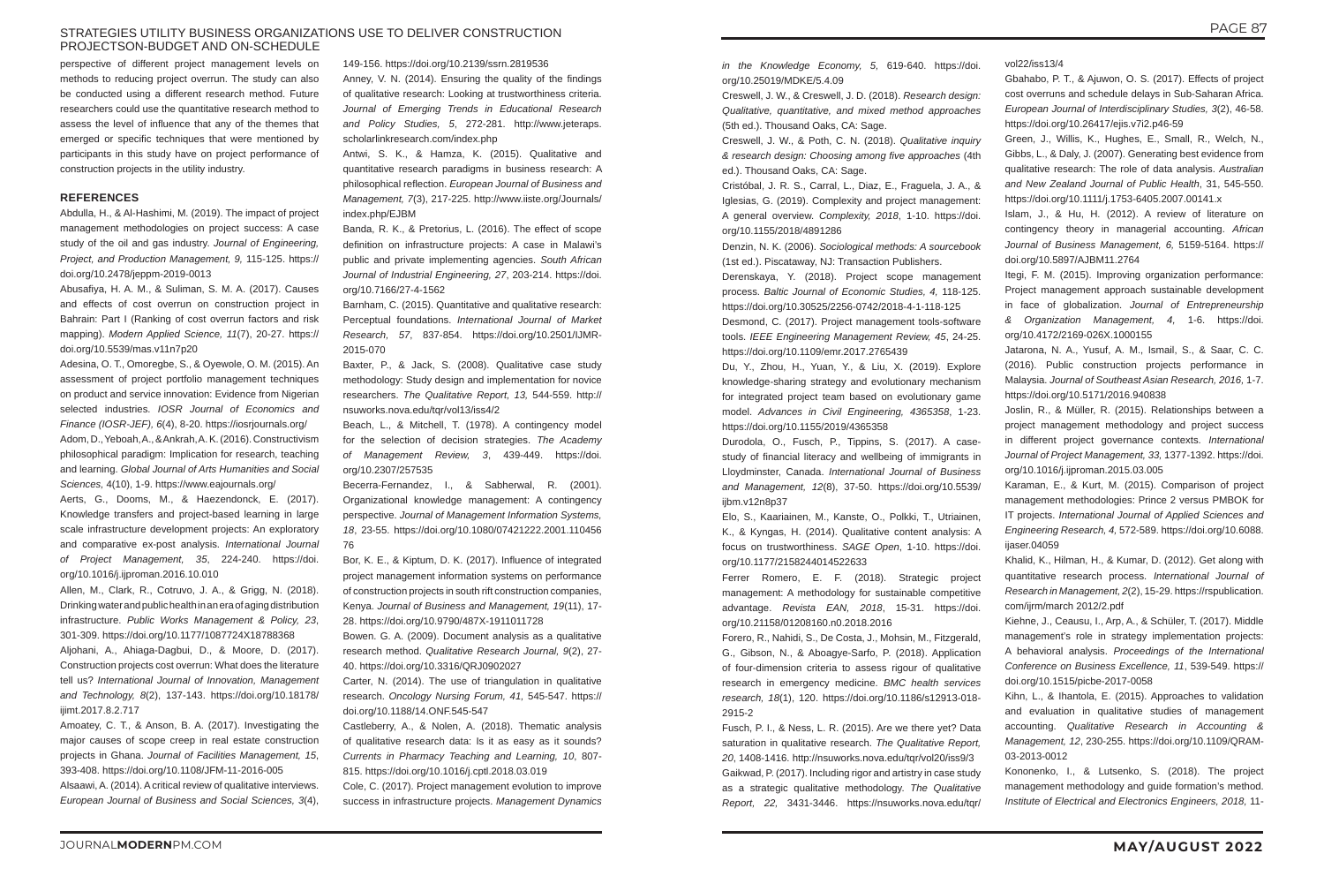# STRATEGIES UTILITY BUSINESS ORGANIZATIONS USE TO DELIVER CONSTRUCTION PROJECTSON-BUDGET AND ON-SCHEDULE

perspective of different project management levels on methods to reducing project overrun. The study can also be conducted using a different research method. Future researchers could use the quantitative research method to assess the level of influence that any of the themes that emerged or specific techniques that were mentioned by participants in this study have on project performance of construction projects in the utility industry.

# **REFERENCES**

Abdulla, H., & Al-Hashimi, M. (2019). The impact of project management methodologies on project success: A case study of the oil and gas industry. *Journal of Engineering, Project, and Production Management, 9,* 115-125. https:// doi.org/10.2478/jeppm-2019-0013

Abusafiya, H. A. M., & Suliman, S. M. A. (2017). Causes and effects of cost overrun on construction project in Bahrain: Part I (Ranking of cost overrun factors and risk mapping). *Modern Applied Science, 11*(7), 20-27. https:// doi.org/10.5539/mas.v11n7p20

Adesina, O. T., Omoregbe, S., & Oyewole, O. M. (2015). An assessment of project portfolio management techniques on product and service innovation: Evidence from Nigerian selected industries. *IOSR Journal of Economics and Finance (IOSR-JEF), 6*(4), 8-20. https://iosrjournals.org/ Adom, D., Yeboah, A., & Ankrah, A. K. (2016). Constructivism philosophical paradigm: Implication for research, teaching and learning. *Global Journal of Arts Humanities and Social Sciences,* 4(10), 1-9. https://www.eajournals.org/

Aerts, G., Dooms, M., & Haezendonck, E. (2017). Knowledge transfers and project-based learning in large scale infrastructure development projects: An exploratory and comparative ex-post analysis. *International Journal of Project Management, 35*, 224-240. https://doi. org/10.1016/j.ijproman.2016.10.010

Allen, M., Clark, R., Cotruvo, J. A., & Grigg, N. (2018). Drinking water and public health in an era of aging distribution infrastructure. *Public Works Management & Policy, 23*, 301-309. https://doi.org/10.1177/1087724X18788368

Aljohani, A., Ahiaga-Dagbui, D., & Moore, D. (2017). Construction projects cost overrun: What does the literature tell us? *International Journal of Innovation, Management and Technology, 8*(2), 137-143. https://doi.org/10.18178/ ijimt.2017.8.2.717

Amoatey, C. T., & Anson, B. A. (2017). Investigating the major causes of scope creep in real estate construction projects in Ghana. *Journal of Facilities Management, 15*, 393-408. https://doi.org/10.1108/JFM-11-2016-005

Alsaawi, A. (2014). A critical review of qualitative interviews. *European Journal of Business and Social Sciences, 3*(4), 149-156. https://doi.org/10.2139/ssrn.2819536 Anney, V. N. (2014). Ensuring the quality of the findings of qualitative research: Looking at trustworthiness criteria. *Journal of Emerging Trends in Educational Research and Policy Studies, 5*, 272-281. http://www.jeteraps.

scholarlinkresearch.com/index.php

Antwi, S. K., & Hamza, K. (2015). Qualitative and quantitative research paradigms in business research: A philosophical reflection. *European Journal of Business and Management, 7*(3), 217-225. http://www.iiste.org/Journals/ index.php/EJBM

> Durodola, O., Fusch, P., Tippins, S. (2017). A casestudy of financial literacy and wellbeing of immigrants in Lloydminster, Canada. *International Journal of Business and Management, 12*(8), 37-50. https://doi.org/10.5539/ iibm.v12n8p37

Banda, R. K., & Pretorius, L. (2016). The effect of scope definition on infrastructure projects: A case in Malawi's public and private implementing agencies. *South African Journal of Industrial Engineering, 27*, 203-214. https://doi. org/10.7166/27-4-1562

Barnham, C. (2015). Quantitative and qualitative research: Perceptual foundations. *International Journal of Market Research, 57*, 837-854. https://doi.org/10.2501/IJMR-2015-070

Baxter, P., & Jack, S. (2008). Qualitative case study methodology: Study design and implementation for novice researchers. *The Qualitative Report, 13,* 544-559. http:// nsuworks.nova.edu/tqr/vol13/iss4/2

Beach, L., & Mitchell, T. (1978). A contingency model for the selection of decision strategies. *The Academy of Management Review, 3*, 439-449. https://doi. org/10.2307/257535

Becerra-Fernandez, I., & Sabherwal, R. (2001). Organizational knowledge management: A contingency perspective. *Journal of Management Information Systems, 18*, 23-55. https://doi.org/10.1080/07421222.2001.110456 76

Bor, K. E., & Kiptum, D. K. (2017). Influence of integrated project management information systems on performance of construction projects in south rift construction companies, Kenya. *Journal of Business and Management, 19*(11), 17- 28. https://doi.org/10.9790/487X-1911011728

Bowen. G. A. (2009). Document analysis as a qualitative research method. *Qualitative Research Journal, 9*(2), 27- 40. https://doi.org/10.3316/QRJ0902027

Carter, N. (2014). The use of triangulation in qualitative research. *Oncology Nursing Forum, 41,* 545-547. https:// doi.org/10.1188/14.ONF.545-547

Castleberry, A., & Nolen, A. (2018). Thematic analysis of qualitative research data: Is it as easy as it sounds? *Currents in Pharmacy Teaching and Learning, 10*, 807- 815. https://doi.org/10.1016/j.cptl.2018.03.019

Cole, C. (2017). Project management evolution to improve success in infrastructure projects. *Management Dynamics* 

*in the Knowledge Economy, 5,* 619-640. https://doi. org/10.25019/MDKE/5.4.09

Creswell, J. W., & Creswell, J. D. (2018). *Research design: Qualitative, quantitative, and mixed method approaches* (5th ed.). Thousand Oaks, CA: Sage.

Creswell, J. W., & Poth, C. N. (2018). *Qualitative inquiry & research design: Choosing among five approaches* (4th ed.). Thousand Oaks, CA: Sage.

Cristóbal, J. R. S., Carral, L., Diaz, E., Fraguela, J. A., & Iglesias, G. (2019). Complexity and project management: A general overview. *Complexity, 2018*, 1-10. https://doi. org/10.1155/2018/4891286

Denzin, N. K. (2006). *Sociological methods: A sourcebook* (1st ed.). Piscataway, NJ: Transaction Publishers.

Derenskaya, Y. (2018). Project scope management process. *Baltic Journal of Economic Studies, 4,* 118-125. https://doi.org/10.30525/2256-0742/2018-4-1-118-125

Desmond, C. (2017). Project management tools-software tools. *IEEE Engineering Management Review, 45*, 24-25. https://doi.org/10.1109/emr.2017.2765439

Du, Y., Zhou, H., Yuan, Y., & Liu, X. (2019). Explore knowledge-sharing strategy and evolutionary mechanism for integrated project team based on evolutionary game model. *Advances in Civil Engineering, 4365358*, 1-23. https://doi.org/10.1155/2019/4365358

Elo, S., Kaariainen, M., Kanste, O., Polkki, T., Utriainen, K., & Kyngas, H. (2014). Qualitative content analysis: A focus on trustworthiness. *SAGE Open*, 1-10. https://doi. org/10.1177/2158244014522633

Ferrer Romero, E. F. (2018). Strategic project management: A methodology for sustainable competitive advantage. *Revista EAN, 2018*, 15-31. https://doi. org/10.21158/01208160.n0.2018.2016

Forero, R., Nahidi, S., De Costa, J., Mohsin, M., Fitzgerald, G., Gibson, N., & Aboagye-Sarfo, P. (2018). Application of four-dimension criteria to assess rigour of qualitative research in emergency medicine. *BMC health services research, 18*(1), 120. https://doi.org/10.1186/s12913-018- 2915-2

Fusch, P. I., & Ness, L. R. (2015). Are we there yet? Data saturation in qualitative research. *The Qualitative Report, 20*, 1408-1416. http://nsuworks.nova.edu/tqr/vol20/iss9/3 Gaikwad, P. (2017). Including rigor and artistry in case study as a strategic qualitative methodology. *The Qualitative Report, 22,* 3431-3446. https://nsuworks.nova.edu/tqr/

vol22/iss13/4

- Gbahabo, P. T., & Ajuwon, O. S. (2017). Effects of project cost overruns and schedule delays in Sub-Saharan Africa. *European Journal of Interdisciplinary Studies, 3*(2), 46-58. https://doi.org/10.26417/ejis.v7i2.p46-59
- Green, J., Willis, K., Hughes, E., Small, R., Welch, N., Gibbs, L., & Daly, J. (2007). Generating best evidence from qualitative research: The role of data analysis. *Australian and New Zealand Journal of Public Health*, 31, 545-550. https://doi.org/10.1111/j.1753-6405.2007.00141.x
- Islam, J., & Hu, H. (2012). A review of literature on contingency theory in managerial accounting. *African Journal of Business Management, 6,* 5159-5164. https:// doi.org/10.5897/AJBM11.2764
- Itegi, F. M. (2015). Improving organization performance: Project management approach sustainable development in face of globalization. *Journal of Entrepreneurship & Organization Management, 4,* 1-6. https://doi. org/10.4172/2169-026X.1000155
- Jatarona, N. A., Yusuf, A. M., Ismail, S., & Saar, C. C. (2016). Public construction projects performance in Malaysia. *Journal of Southeast Asian Research, 2016,* 1-7. https://doi.org/10.5171/2016.940838
- Joslin, R., & Müller, R. (2015). Relationships between a project management methodology and project success in different project governance contexts. *International Journal of Project Management, 33,* 1377-1392. https://doi. org/10.1016/j.ijproman.2015.03.005
- Karaman, E., & Kurt, M. (2015). Comparison of project management methodologies: Prince 2 versus PMBOK for IT projects. *International Journal of Applied Sciences and Engineering Research, 4,* 572-589. https://doi.org/10.6088. ijaser.04059
- Khalid, K., Hilman, H., & Kumar, D. (2012). Get along with quantitative research process. *International Journal of Research in Management, 2*(2), 15-29. https://rspublication. com/ijrm/march 2012/2.pdf
- Kiehne, J., Ceausu, I., Arp, A., & Schüler, T. (2017). Middle management's role in strategy implementation projects: A behavioral analysis. *Proceedings of the International Conference on Business Excellence, 11*, 539-549. https:// doi.org/10.1515/picbe-2017-0058
- Kihn, L., & Ihantola, E. (2015). Approaches to validation and evaluation in qualitative studies of management accounting. *Qualitative Research in Accounting & Management, 12*, 230-255. https://doi.org/10.1109/QRAM-03-2013-0012
- Kononenko, I., & Lutsenko, S. (2018). The project management methodology and guide formation's method. *Institute of Electrical and Electronics Engineers, 2018,* 11-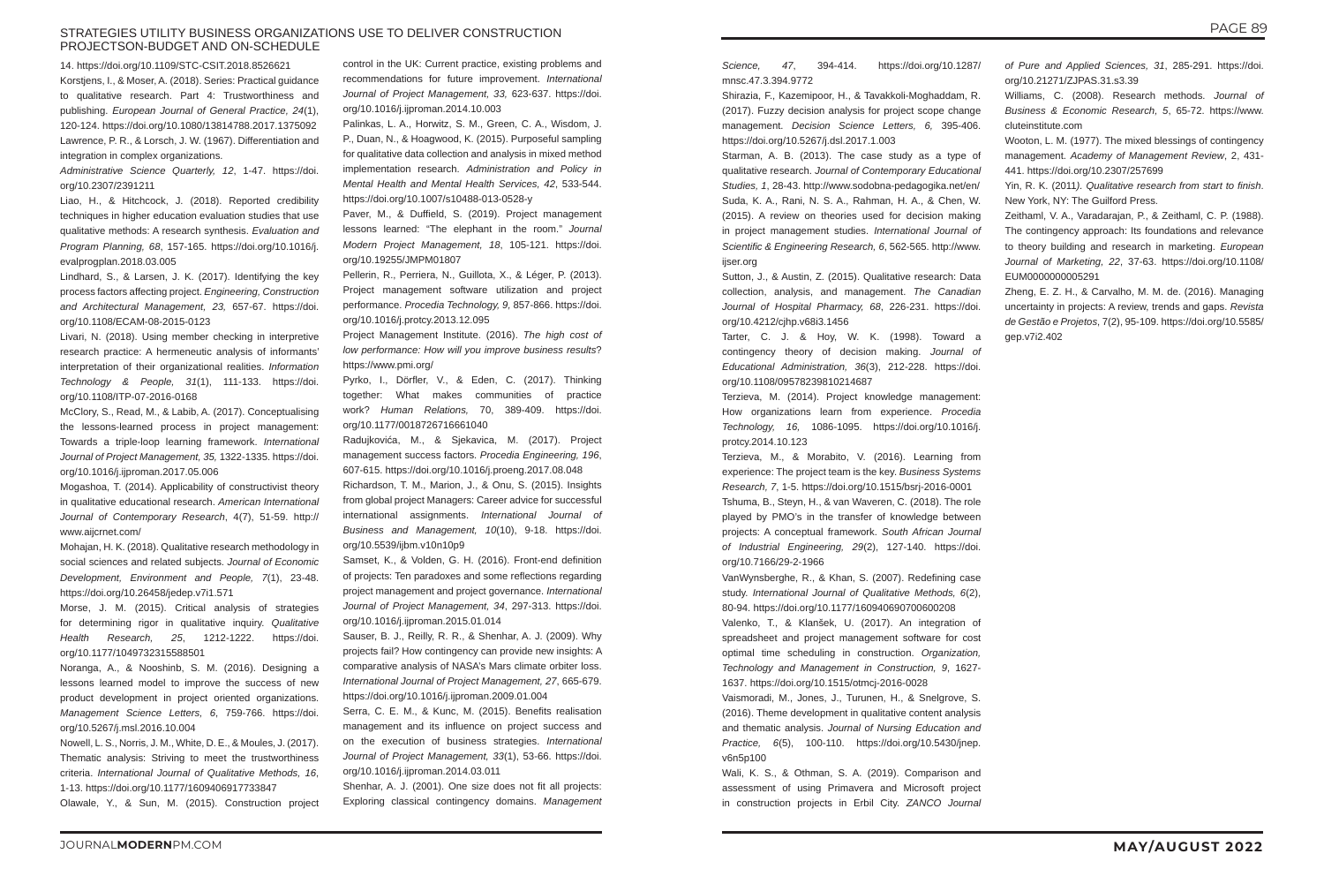# STRATEGIES UTILITY BUSINESS ORGANIZATIONS USE TO DELIVER CONSTRUCTION PROJECTSON-BUDGET AND ON-SCHEDULE

*Science, 47*, 394-414. https://doi.org/10.1287/ mnsc.47.3.394.9772

Shirazia, F., Kazemipoor, H., & Tavakkoli-Moghaddam, R. (2017). Fuzzy decision analysis for project scope change management. *Decision Science Letters, 6,* 395-406. https://doi.org/10.5267/j.dsl.2017.1.003

Starman, A. B. (2013). The case study as a type of qualitative research. *Journal of Contemporary Educational Studies, 1*, 28-43. http://www.sodobna-pedagogika.net/en/ Suda, K. A., Rani, N. S. A., Rahman, H. A., & Chen, W. (2015). A review on theories used for decision making in project management studies. *International Journal of Scientific & Engineering Research, 6*, 562-565. http://www. ijser.org

Sutton, J., & Austin, Z. (2015). Qualitative research: Data collection, analysis, and management. *The Canadian Journal of Hospital Pharmacy, 68*, 226-231. https://doi. org/10.4212/cjhp.v68i3.1456

Tarter, C. J. & Hoy, W. K. (1998). Toward a contingency theory of decision making. *Journal of Educational Administration, 36*(3), 212-228. https://doi. org/10.1108/09578239810214687

Terzieva, M. (2014). Project knowledge management: How organizations learn from experience. *Procedia Technology, 16,* 1086-1095. https://doi.org/10.1016/j. protcy.2014.10.123

Terzieva, M., & Morabito, V. (2016). Learning from experience: The project team is the key. *Business Systems Research, 7*, 1-5. https://doi.org/10.1515/bsrj-2016-0001

Tshuma, B., Steyn, H., & van Waveren, C. (2018). The role played by PMO's in the transfer of knowledge between projects: A conceptual framework. *South African Journal of Industrial Engineering, 29*(2), 127-140. https://doi. org/10.7166/29-2-1966

VanWynsberghe, R., & Khan, S. (2007). Redefining case study. *International Journal of Qualitative Methods, 6*(2), 80-94. https://doi.org/10.1177/160940690700600208

Valenko, T., & Klanšek, U. (2017). An integration of spreadsheet and project management software for cost optimal time scheduling in construction. *Organization, Technology and Management in Construction, 9*, 1627- 1637. https://doi.org/10.1515/otmcj-2016-0028

Vaismoradi, M., Jones, J., Turunen, H., & Snelgrove, S. (2016). Theme development in qualitative content analysis and thematic analysis. *Journal of Nursing Education and Practice, 6*(5), 100-110. https://doi.org/10.5430/jnep. v6n5p100

Wali, K. S., & Othman, S. A. (2019). Comparison and assessment of using Primavera and Microsoft project in construction projects in Erbil City. *ZANCO Journal* 

- *of Pure and Applied Sciences, 31*, 285-291. https://doi. org/10.21271/ZJPAS.31.s3.39
- Williams, C. (2008). Research methods. *Journal of Business & Economic Research, 5*, 65-72. https://www. cluteinstitute.com
- Wooton, L. M. (1977). The mixed blessings of contingency management. *Academy of Management Review*, 2, 431- 441. https://doi.org/10.2307/257699
- Yin, R. K. (2011*). Qualitative research from start to finish*. New York, NY: The Guilford Press.
- Zeithaml, V. A., Varadarajan, P., & Zeithaml, C. P. (1988). The contingency approach: Its foundations and relevance to theory building and research in marketing. *European Journal of Marketing, 22*, 37-63. https://doi.org/10.1108/ EUM0000000005291
- Zheng, E. Z. H., & Carvalho, M. M. de. (2016). Managing uncertainty in projects: A review, trends and gaps. *Revista de Gestão e Projetos*, 7(2), 95-109. https://doi.org/10.5585/ gep.v7i2.402

14. https://doi.org/10.1109/STC-CSIT.2018.8526621 Korstjens, I., & Moser, A. (2018). Series: Practical guidance to qualitative research. Part 4: Trustworthiness and publishing. *European Journal of General Practice, 24*(1), 120-124. https://doi.org/10.1080/13814788.2017.1375092 Lawrence, P. R., & Lorsch, J. W. (1967). Differentiation and integration in complex organizations.

*Administrative Science Quarterly, 12*, 1-47. https://doi. org/10.2307/2391211

Liao, H., & Hitchcock, J. (2018). Reported credibility techniques in higher education evaluation studies that use qualitative methods: A research synthesis. *Evaluation and Program Planning, 68*, 157-165. https://doi.org/10.1016/j. evalprogplan.2018.03.005

Lindhard, S., & Larsen, J. K. (2017). Identifying the key process factors affecting project. *Engineering, Construction and Architectural Management, 23,* 657-67. https://doi. org/10.1108/ECAM-08-2015-0123

Livari, N. (2018). Using member checking in interpretive research practice: A hermeneutic analysis of informants' interpretation of their organizational realities. *Information Technology & People, 31*(1), 111-133. https://doi. org/10.1108/ITP-07-2016-0168

McClory, S., Read, M., & Labib, A. (2017). Conceptualising the lessons-learned process in project management: Towards a triple-loop learning framework. *International Journal of Project Management, 35,* 1322-1335. https://doi. org/10.1016/j.ijproman.2017.05.006

Mogashoa, T. (2014). Applicability of constructivist theory in qualitative educational research. *American International Journal of Contemporary Research*, 4(7), 51-59. http:// www.aijcrnet.com/

Mohajan, H. K. (2018). Qualitative research methodology in social sciences and related subjects. *Journal of Economic Development, Environment and People, 7*(1), 23-48. https://doi.org/10.26458/jedep.v7i1.571

Morse, J. M. (2015). Critical analysis of strategies for determining rigor in qualitative inquiry. *Qualitative Health Research, 25*, 1212-1222. https://doi. org/10.1177/1049732315588501

Noranga, A., & Nooshinb, S. M. (2016). Designing a lessons learned model to improve the success of new product development in project oriented organizations. *Management Science Letters, 6*, 759-766. https://doi. org/10.5267/j.msl.2016.10.004

Nowell, L. S., Norris, J. M., White, D. E., & Moules, J. (2017). Thematic analysis: Striving to meet the trustworthiness criteria. *International Journal of Qualitative Methods, 16*, 1-13. https://doi.org/10.1177/1609406917733847

Olawale, Y., & Sun, M. (2015). Construction project

control in the UK: Current practice, existing problems and recommendations for future improvement. *International Journal of Project Management, 33,* 623-637. https://doi. org/10.1016/j.ijproman.2014.10.003

Palinkas, L. A., Horwitz, S. M., Green, C. A., Wisdom, J. P., Duan, N., & Hoagwood, K. (2015). Purposeful sampling for qualitative data collection and analysis in mixed method implementation research. *Administration and Policy in Mental Health and Mental Health Services, 42*, 533-544. https://doi.org/10.1007/s10488-013-0528-y

Paver, M., & Duffield, S. (2019). Project management lessons learned: "The elephant in the room." *Journal Modern Project Management, 18*, 105-121. https://doi. org/10.19255/JMPM01807

Pellerin, R., Perriera, N., Guillota, X., & Léger, P. (2013). Project management software utilization and project performance. *Procedia Technology, 9,* 857-866. https://doi. org/10.1016/j.protcy.2013.12.095

Project Management Institute. (2016). *The high cost of low performance: How will you improve business results*? https://www.pmi.org/

Pyrko, I., Dörfler, V., & Eden, C. (2017). Thinking together: What makes communities of practice work? *Human Relations,* 70, 389-409. https://doi. org/10.1177/0018726716661040

Radujkovića, M., & Sjekavica, M. (2017). Project management success factors. *Procedia Engineering, 196*, 607-615. https://doi.org/10.1016/j.proeng.2017.08.048

Richardson, T. M., Marion, J., & Onu, S. (2015). Insights from global project Managers: Career advice for successful international assignments. *International Journal of Business and Management, 10*(10), 9-18. https://doi. org/10.5539/ijbm.v10n10p9

Samset, K., & Volden, G. H. (2016). Front-end definition of projects: Ten paradoxes and some reflections regarding project management and project governance. *International Journal of Project Management, 34*, 297-313. https://doi. org/10.1016/j.ijproman.2015.01.014

Sauser, B. J., Reilly, R. R., & Shenhar, A. J. (2009). Why projects fail? How contingency can provide new insights: A comparative analysis of NASA's Mars climate orbiter loss. *International Journal of Project Management, 27*, 665-679. https://doi.org/10.1016/j.ijproman.2009.01.004

Serra, C. E. M., & Kunc, M. (2015). Benefits realisation management and its influence on project success and on the execution of business strategies. *International Journal of Project Management, 33*(1), 53-66. https://doi. org/10.1016/j.ijproman.2014.03.011

Shenhar, A. J. (2001). One size does not fit all projects: Exploring classical contingency domains. *Management*